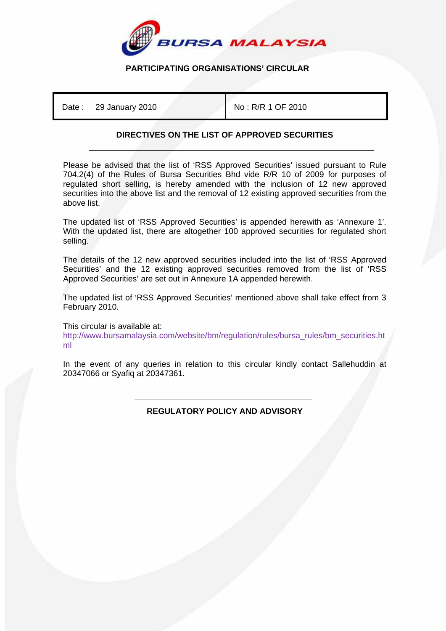

## **PARTICIPATING ORGANISATIONS' CIRCULAR**

Date : 29 January 2010 **No : R/R 1 OF 2010** 

## **DIRECTIVES ON THE LIST OF APPROVED SECURITIES**

Please be advised that the list of 'RSS Approved Securities' issued pursuant to Rule 704.2(4) of the Rules of Bursa Securities Bhd vide R/R 10 of 2009 for purposes of regulated short selling, is hereby amended with the inclusion of 12 new approved securities into the above list and the removal of 12 existing approved securities from the above list.

The updated list of 'RSS Approved Securities' is appended herewith as 'Annexure 1'. With the updated list, there are altogether 100 approved securities for regulated short selling.

The details of the 12 new approved securities included into the list of 'RSS Approved Securities' and the 12 existing approved securities removed from the list of 'RSS Approved Securities' are set out in Annexure 1A appended herewith.

The updated list of 'RSS Approved Securities' mentioned above shall take effect from 3 February 2010.

This circular is available at:

http://www.bursamalaysia.com/website/bm/regulation/rules/bursa\_rules/bm\_securities.ht ml

In the event of any queries in relation to this circular kindly contact Sallehuddin at 20347066 or Syafiq at 20347361.

> ֺ **REGULATORY POLICY AND ADVISORY**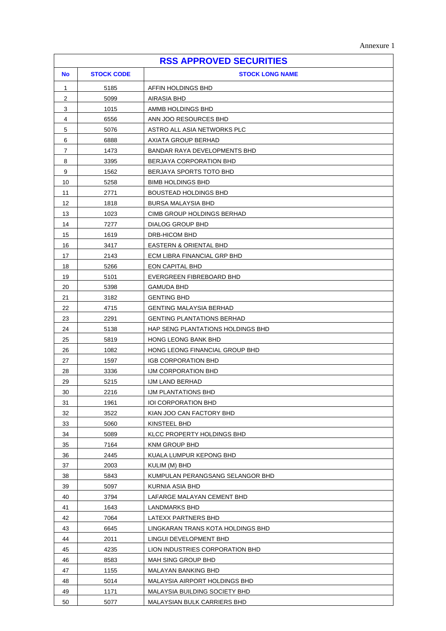| <b>RSS APPROVED SECURITIES</b> |                   |                                   |  |  |
|--------------------------------|-------------------|-----------------------------------|--|--|
| <b>No</b>                      | <b>STOCK CODE</b> | <b>STOCK LONG NAME</b>            |  |  |
| 1                              | 5185              | AFFIN HOLDINGS BHD                |  |  |
| $\overline{c}$                 | 5099              | AIRASIA BHD                       |  |  |
| 3                              | 1015              | AMMB HOLDINGS BHD                 |  |  |
| 4                              | 6556              | ANN JOO RESOURCES BHD             |  |  |
| 5                              | 5076              | ASTRO ALL ASIA NETWORKS PLC       |  |  |
| 6                              | 6888              | AXIATA GROUP BERHAD               |  |  |
| 7                              | 1473              | BANDAR RAYA DEVELOPMENTS BHD      |  |  |
| 8                              | 3395              | BERJAYA CORPORATION BHD           |  |  |
| 9                              | 1562              | BERJAYA SPORTS TOTO BHD           |  |  |
| 10                             | 5258              | <b>BIMB HOLDINGS BHD</b>          |  |  |
| 11                             | 2771              | <b>BOUSTEAD HOLDINGS BHD</b>      |  |  |
| $12 \overline{ }$              | 1818              | <b>BURSA MALAYSIA BHD</b>         |  |  |
| 13                             | 1023              | CIMB GROUP HOLDINGS BERHAD        |  |  |
| 14                             | 7277              | DIALOG GROUP BHD                  |  |  |
| 15                             | 1619              | DRB-HICOM BHD                     |  |  |
| 16                             | 3417              | EASTERN & ORIENTAL BHD            |  |  |
| 17                             | 2143              | ECM LIBRA FINANCIAL GRP BHD       |  |  |
| 18                             | 5266              | <b>EON CAPITAL BHD</b>            |  |  |
| 19                             | 5101              | EVERGREEN FIBREBOARD BHD          |  |  |
| 20                             | 5398              | GAMUDA BHD                        |  |  |
| 21                             | 3182              | <b>GENTING BHD</b>                |  |  |
| 22                             | 4715              | GENTING MALAYSIA BERHAD           |  |  |
| 23                             | 2291              | <b>GENTING PLANTATIONS BERHAD</b> |  |  |
| 24                             | 5138              | HAP SENG PLANTATIONS HOLDINGS BHD |  |  |
| 25                             | 5819              | HONG LEONG BANK BHD               |  |  |
| 26                             | 1082              | HONG LEONG FINANCIAL GROUP BHD    |  |  |
| 27                             | 1597              | <b>IGB CORPORATION BHD</b>        |  |  |
| 28                             | 3336              | IJM CORPORATION BHD               |  |  |
| 29                             | 5215              | <b>IJM LAND BERHAD</b>            |  |  |
| 30                             | 2216              | IJM PLANTATIONS BHD               |  |  |
| 31                             | 1961              | <b>IOI CORPORATION BHD</b>        |  |  |
| 32                             | 3522              | KIAN JOO CAN FACTORY BHD          |  |  |
| 33                             | 5060              | KINSTEEL BHD                      |  |  |
| 34                             | 5089              | KLCC PROPERTY HOLDINGS BHD        |  |  |
| 35                             | 7164              | KNM GROUP BHD                     |  |  |
| 36                             | 2445              | KUALA LUMPUR KEPONG BHD           |  |  |
| 37                             | 2003              | KULIM (M) BHD                     |  |  |
| 38                             | 5843              | KUMPULAN PERANGSANG SELANGOR BHD  |  |  |
| 39                             | 5097              | KURNIA ASIA BHD                   |  |  |
| 40                             | 3794              | LAFARGE MALAYAN CEMENT BHD        |  |  |
| 41                             | 1643              | LANDMARKS BHD                     |  |  |
| 42                             | 7064              | LATEXX PARTNERS BHD               |  |  |
| 43                             | 6645              | LINGKARAN TRANS KOTA HOLDINGS BHD |  |  |
| 44                             | 2011              | LINGUI DEVELOPMENT BHD            |  |  |
| 45                             | 4235              | LION INDUSTRIES CORPORATION BHD   |  |  |
| 46                             | 8583              | MAH SING GROUP BHD                |  |  |
| 47                             | 1155              | MALAYAN BANKING BHD               |  |  |
| 48                             | 5014              | MALAYSIA AIRPORT HOLDINGS BHD     |  |  |
| 49                             | 1171              | MALAYSIA BUILDING SOCIETY BHD     |  |  |
| 50                             | 5077              | MALAYSIAN BULK CARRIERS BHD       |  |  |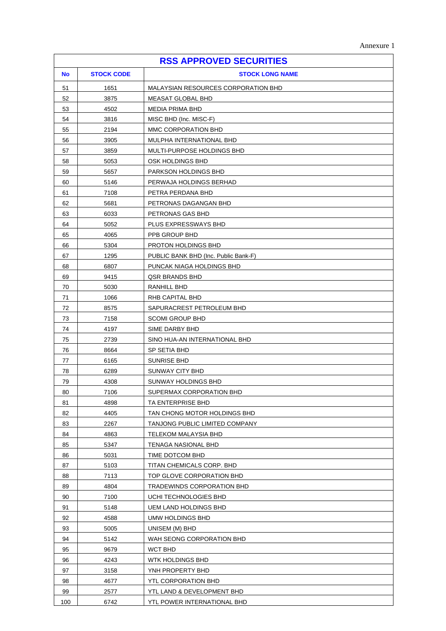| <b>RSS APPROVED SECURITIES</b> |                   |                                             |  |  |
|--------------------------------|-------------------|---------------------------------------------|--|--|
| <b>No</b>                      | <b>STOCK CODE</b> | <b>STOCK LONG NAME</b>                      |  |  |
| 51                             | 1651              | MALAYSIAN RESOURCES CORPORATION BHD         |  |  |
| 52                             | 3875              | <b>MEASAT GLOBAL BHD</b>                    |  |  |
| 53                             | 4502              | <b>MEDIA PRIMA BHD</b>                      |  |  |
| 54                             | 3816              | MISC BHD (Inc. MISC-F)                      |  |  |
| 55                             | 2194              | MMC CORPORATION BHD                         |  |  |
| 56                             | 3905              | MULPHA INTERNATIONAL BHD                    |  |  |
| 57                             | 3859              | MULTI-PURPOSE HOLDINGS BHD                  |  |  |
| 58                             | 5053              | OSK HOLDINGS BHD                            |  |  |
| 59                             | 5657              | PARKSON HOLDINGS BHD                        |  |  |
| 60                             | 5146              | PERWAJA HOLDINGS BERHAD                     |  |  |
| 61                             | 7108              | PETRA PERDANA BHD                           |  |  |
| 62                             | 5681              | PETRONAS DAGANGAN BHD                       |  |  |
| 63                             | 6033              | PETRONAS GAS BHD                            |  |  |
| 64                             | 5052              | PLUS EXPRESSWAYS BHD                        |  |  |
| 65                             | 4065              | PPB GROUP BHD                               |  |  |
| 66                             | 5304              | PROTON HOLDINGS BHD                         |  |  |
| 67                             | 1295              | PUBLIC BANK BHD (Inc. Public Bank-F)        |  |  |
| 68                             | 6807              | PUNCAK NIAGA HOLDINGS BHD                   |  |  |
| 69                             | 9415              | QSR BRANDS BHD                              |  |  |
| 70                             | 5030              | RANHILL BHD                                 |  |  |
| 71                             | 1066              | RHB CAPITAL BHD                             |  |  |
| 72                             | 8575              | SAPURACREST PETROLEUM BHD                   |  |  |
| 73                             | 7158              | <b>SCOMI GROUP BHD</b>                      |  |  |
| 74                             | 4197              | SIME DARBY BHD                              |  |  |
| 75                             | 2739              | SINO HUA-AN INTERNATIONAL BHD               |  |  |
| 76                             | 8664              | SP SETIA BHD                                |  |  |
| 77                             | 6165              | SUNRISE BHD                                 |  |  |
| 78                             | 6289              | SUNWAY CITY BHD                             |  |  |
| 79                             | 4308              | SUNWAY HOLDINGS BHD                         |  |  |
| 80                             | 7106              | SUPERMAX CORPORATION BHD                    |  |  |
| 81                             | 4898              | TA ENTERPRISE BHD                           |  |  |
| 82                             | 4405              | TAN CHONG MOTOR HOLDINGS BHD                |  |  |
| 83                             | 2267              | TANJONG PUBLIC LIMITED COMPANY              |  |  |
| 84                             | 4863              | TELEKOM MALAYSIA BHD                        |  |  |
| 85                             | 5347              | TENAGA NASIONAL BHD                         |  |  |
| 86                             | 5031              | TIME DOTCOM BHD                             |  |  |
| 87                             | 5103              | TITAN CHEMICALS CORP. BHD                   |  |  |
| 88                             | 7113              | TOP GLOVE CORPORATION BHD                   |  |  |
| 89                             | 4804              | TRADEWINDS CORPORATION BHD                  |  |  |
| 90                             | 7100              | UCHI TECHNOLOGIES BHD                       |  |  |
| 91                             | 5148              | UEM LAND HOLDINGS BHD                       |  |  |
| 92                             | 4588              | UMW HOLDINGS BHD                            |  |  |
| 93                             | 5005              | UNISEM (M) BHD                              |  |  |
| 94<br>95                       | 5142<br>9679      | WAH SEONG CORPORATION BHD<br><b>WCT BHD</b> |  |  |
|                                |                   |                                             |  |  |
| 96<br>97                       | 4243<br>3158      | WTK HOLDINGS BHD<br>YNH PROPERTY BHD        |  |  |
| 98                             | 4677              | YTL CORPORATION BHD                         |  |  |
| 99                             | 2577              | YTL LAND & DEVELOPMENT BHD                  |  |  |
| 100                            | 6742              | YTL POWER INTERNATIONAL BHD                 |  |  |